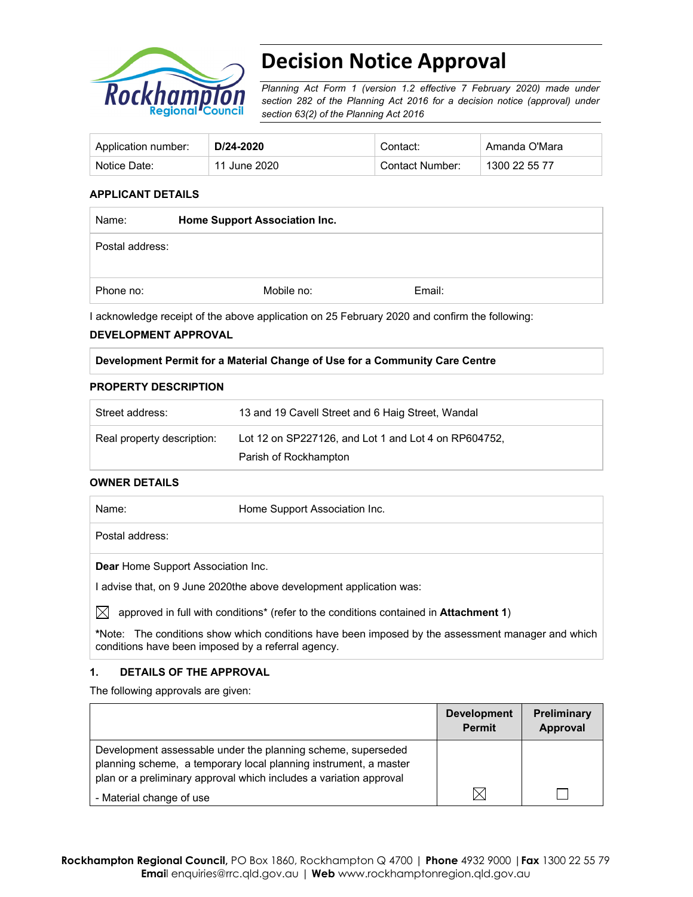

# **Decision Notice Approval**

*Planning Act Form 1 (version 1.2 effective 7 February 2020) made under section 282 of the Planning Act 2016 for a decision notice (approval) under section 63(2) of the Planning Act 2016*

| Application number: | D/24-2020    | Contact:        | Amanda O'Mara |
|---------------------|--------------|-----------------|---------------|
| Notice Date:        | 11 June 2020 | Contact Number: | 1300 22 55 77 |

#### **APPLICANT DETAILS**

| Name:           | <b>Home Support Association Inc.</b> |        |  |
|-----------------|--------------------------------------|--------|--|
| Postal address: |                                      |        |  |
| Phone no:       | Mobile no:                           | Email: |  |

I acknowledge receipt of the above application on 25 February 2020 and confirm the following:

#### **DEVELOPMENT APPROVAL**

#### **Development Permit for a Material Change of Use for a Community Care Centre**

#### **PROPERTY DESCRIPTION**

| Street address:            | 13 and 19 Cavell Street and 6 Haig Street, Wandal                             |
|----------------------------|-------------------------------------------------------------------------------|
| Real property description: | Lot 12 on SP227126, and Lot 1 and Lot 4 on RP604752,<br>Parish of Rockhampton |

#### **OWNER DETAILS**

| Name:           | Home Support Association Inc. |  |
|-----------------|-------------------------------|--|
| Postal address: |                               |  |

**Dear** Home Support Association Inc.

I advise that, on 9 June 2020the above development application was:

 $\boxtimes$  approved in full with conditions<sup>\*</sup> (refer to the conditions contained in **Attachment 1**)

**\***Note:The conditions show which conditions have been imposed by the assessment manager and which conditions have been imposed by a referral agency.

#### **1. DETAILS OF THE APPROVAL**

The following approvals are given:

|                                                                                                                                                                                                        | <b>Development</b><br><b>Permit</b> | <b>Preliminary</b><br>Approval |
|--------------------------------------------------------------------------------------------------------------------------------------------------------------------------------------------------------|-------------------------------------|--------------------------------|
| Development assessable under the planning scheme, superseded<br>planning scheme, a temporary local planning instrument, a master<br>plan or a preliminary approval which includes a variation approval |                                     |                                |
| - Material change of use                                                                                                                                                                               |                                     |                                |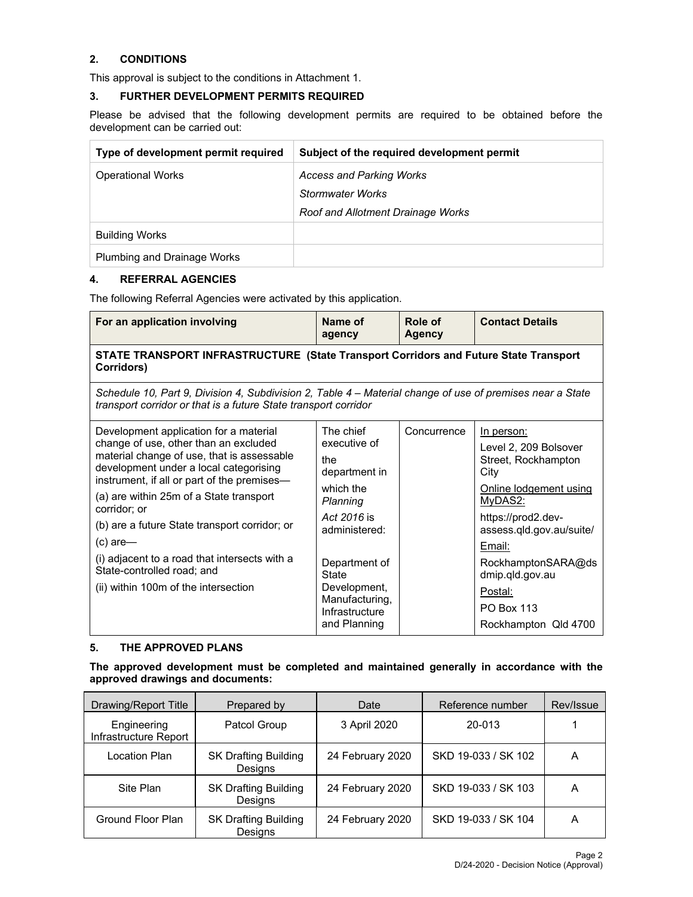## **2. CONDITIONS**

This approval is subject to the conditions in Attachment 1.

### **3. FURTHER DEVELOPMENT PERMITS REQUIRED**

Please be advised that the following development permits are required to be obtained before the development can be carried out:

| Type of development permit required | Subject of the required development permit |
|-------------------------------------|--------------------------------------------|
| <b>Operational Works</b>            | <b>Access and Parking Works</b>            |
|                                     | Stormwater Works                           |
|                                     | Roof and Allotment Drainage Works          |
| <b>Building Works</b>               |                                            |
| Plumbing and Drainage Works         |                                            |

### **4. REFERRAL AGENCIES**

The following Referral Agencies were activated by this application.

| For an application involving                                                                                                                                                 | Name of<br>agency                | Role of<br><b>Agency</b> | <b>Contact Details</b>                         |  |  |
|------------------------------------------------------------------------------------------------------------------------------------------------------------------------------|----------------------------------|--------------------------|------------------------------------------------|--|--|
| STATE TRANSPORT INFRASTRUCTURE (State Transport Corridors and Future State Transport<br>Corridors)                                                                           |                                  |                          |                                                |  |  |
| Schedule 10, Part 9, Division 4, Subdivision 2, Table 4 – Material change of use of premises near a State<br>transport corridor or that is a future State transport corridor |                                  |                          |                                                |  |  |
| Development application for a material                                                                                                                                       | The chief                        | Concurrence              | In person:                                     |  |  |
| change of use, other than an excluded<br>material change of use, that is assessable<br>development under a local categorising                                                | executive of<br>the              |                          | Level 2, 209 Bolsover<br>Street, Rockhampton   |  |  |
| instrument, if all or part of the premises-                                                                                                                                  | department in<br>which the       |                          | City                                           |  |  |
| (a) are within 25m of a State transport<br>corridor; or                                                                                                                      | Planning                         |                          | Online lodgement using<br>MyDAS2:              |  |  |
| (b) are a future State transport corridor; or                                                                                                                                | Act 2016 is<br>administered:     |                          | https://prod2.dev-<br>assess.qld.gov.au/suite/ |  |  |
| $(c)$ are-                                                                                                                                                                   |                                  |                          | Email:                                         |  |  |
| (i) adjacent to a road that intersects with a<br>State-controlled road; and                                                                                                  | Department of<br><b>State</b>    |                          | RockhamptonSARA@ds<br>dmip.qld.gov.au          |  |  |
| (ii) within 100m of the intersection                                                                                                                                         | Development,                     |                          | Postal:                                        |  |  |
|                                                                                                                                                                              | Manufacturing,<br>Infrastructure |                          | <b>PO Box 113</b>                              |  |  |
|                                                                                                                                                                              | and Planning                     |                          | Rockhampton Qld 4700                           |  |  |

## **5. THE APPROVED PLANS**

**The approved development must be completed and maintained generally in accordance with the approved drawings and documents:**

| Drawing/Report Title                 | Prepared by                            | Date             | Reference number    | Rev/Issue |
|--------------------------------------|----------------------------------------|------------------|---------------------|-----------|
| Engineering<br>Infrastructure Report | Patcol Group                           | 3 April 2020     | 20-013              |           |
| Location Plan                        | <b>SK Drafting Building</b><br>Designs | 24 February 2020 | SKD 19-033 / SK 102 | A         |
| Site Plan                            | <b>SK Drafting Building</b><br>Designs | 24 February 2020 | SKD 19-033 / SK 103 | A         |
| Ground Floor Plan                    | <b>SK Drafting Building</b><br>Designs | 24 February 2020 | SKD 19-033 / SK 104 | A         |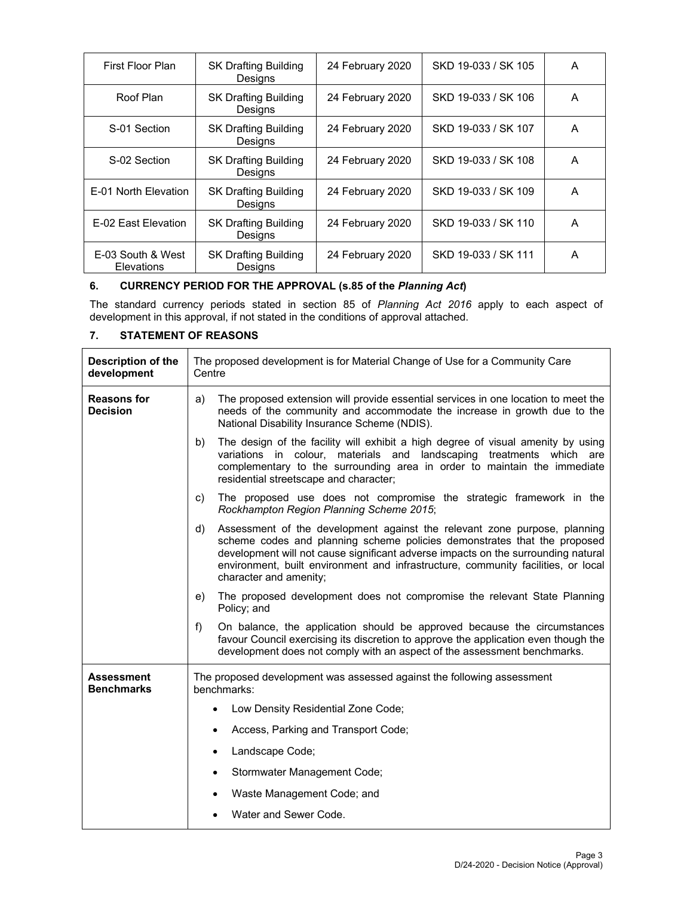| First Floor Plan                | <b>SK Drafting Building</b><br>Designs | 24 February 2020 | SKD 19-033 / SK 105 | A |
|---------------------------------|----------------------------------------|------------------|---------------------|---|
| Roof Plan                       | <b>SK Drafting Building</b><br>Designs | 24 February 2020 | SKD 19-033 / SK 106 | A |
| S-01 Section                    | <b>SK Drafting Building</b><br>Designs | 24 February 2020 | SKD 19-033 / SK 107 | A |
| S-02 Section                    | <b>SK Drafting Building</b><br>Designs | 24 February 2020 | SKD 19-033 / SK 108 | A |
| E-01 North Elevation            | <b>SK Drafting Building</b><br>Desians | 24 February 2020 | SKD 19-033 / SK 109 | A |
| E-02 East Elevation             | <b>SK Drafting Building</b><br>Designs | 24 February 2020 | SKD 19-033 / SK 110 | A |
| E-03 South & West<br>Elevations | <b>SK Drafting Building</b><br>Desians | 24 February 2020 | SKD 19-033 / SK 111 | A |

## **6. CURRENCY PERIOD FOR THE APPROVAL (s.85 of the** *Planning Act***)**

The standard currency periods stated in section 85 of *Planning Act 2016* apply to each aspect of development in this approval, if not stated in the conditions of approval attached.

## **7. STATEMENT OF REASONS**

| <b>Description of the</b><br>development | The proposed development is for Material Change of Use for a Community Care<br>Centre                                                                                                                                                                                                                                                                           |  |  |
|------------------------------------------|-----------------------------------------------------------------------------------------------------------------------------------------------------------------------------------------------------------------------------------------------------------------------------------------------------------------------------------------------------------------|--|--|
| <b>Reasons for</b><br><b>Decision</b>    | The proposed extension will provide essential services in one location to meet the<br>a)<br>needs of the community and accommodate the increase in growth due to the<br>National Disability Insurance Scheme (NDIS).                                                                                                                                            |  |  |
|                                          | The design of the facility will exhibit a high degree of visual amenity by using<br>b)<br>variations in colour, materials and landscaping treatments which are<br>complementary to the surrounding area in order to maintain the immediate<br>residential streetscape and character;                                                                            |  |  |
|                                          | The proposed use does not compromise the strategic framework in the<br>C)<br>Rockhampton Region Planning Scheme 2015;                                                                                                                                                                                                                                           |  |  |
|                                          | d)<br>Assessment of the development against the relevant zone purpose, planning<br>scheme codes and planning scheme policies demonstrates that the proposed<br>development will not cause significant adverse impacts on the surrounding natural<br>environment, built environment and infrastructure, community facilities, or local<br>character and amenity; |  |  |
|                                          | The proposed development does not compromise the relevant State Planning<br>e)<br>Policy; and                                                                                                                                                                                                                                                                   |  |  |
|                                          | f)<br>On balance, the application should be approved because the circumstances<br>favour Council exercising its discretion to approve the application even though the<br>development does not comply with an aspect of the assessment benchmarks.                                                                                                               |  |  |
| <b>Assessment</b><br><b>Benchmarks</b>   | The proposed development was assessed against the following assessment<br>benchmarks:                                                                                                                                                                                                                                                                           |  |  |
|                                          | Low Density Residential Zone Code;                                                                                                                                                                                                                                                                                                                              |  |  |
|                                          | Access, Parking and Transport Code;                                                                                                                                                                                                                                                                                                                             |  |  |
|                                          | Landscape Code;                                                                                                                                                                                                                                                                                                                                                 |  |  |
|                                          | Stormwater Management Code;                                                                                                                                                                                                                                                                                                                                     |  |  |
|                                          | Waste Management Code; and                                                                                                                                                                                                                                                                                                                                      |  |  |
|                                          | Water and Sewer Code.                                                                                                                                                                                                                                                                                                                                           |  |  |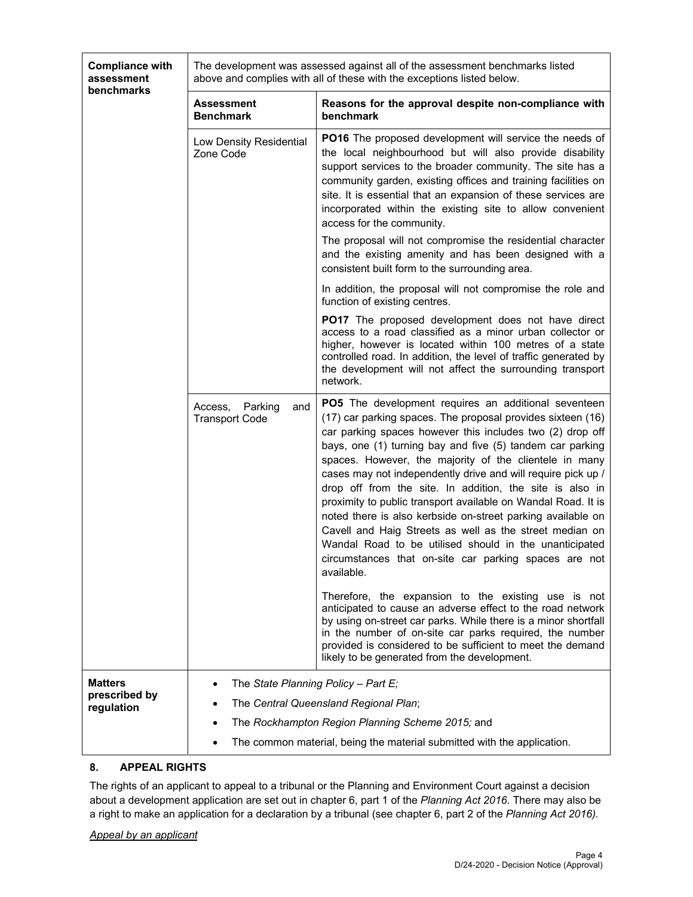| <b>Compliance with</b><br>assessment<br>benchmarks | The development was assessed against all of the assessment benchmarks listed<br>above and complies with all of these with the exceptions listed below. |                                                                                                                                                                                                                                                                                                                                                                                                                                                                                                                                                                                                                                                                                                                                                                 |  |
|----------------------------------------------------|--------------------------------------------------------------------------------------------------------------------------------------------------------|-----------------------------------------------------------------------------------------------------------------------------------------------------------------------------------------------------------------------------------------------------------------------------------------------------------------------------------------------------------------------------------------------------------------------------------------------------------------------------------------------------------------------------------------------------------------------------------------------------------------------------------------------------------------------------------------------------------------------------------------------------------------|--|
|                                                    | <b>Assessment</b><br><b>Benchmark</b>                                                                                                                  | Reasons for the approval despite non-compliance with<br>benchmark                                                                                                                                                                                                                                                                                                                                                                                                                                                                                                                                                                                                                                                                                               |  |
|                                                    | Low Density Residential<br>Zone Code                                                                                                                   | PO16 The proposed development will service the needs of<br>the local neighbourhood but will also provide disability<br>support services to the broader community. The site has a<br>community garden, existing offices and training facilities on<br>site. It is essential that an expansion of these services are<br>incorporated within the existing site to allow convenient<br>access for the community.<br>The proposal will not compromise the residential character                                                                                                                                                                                                                                                                                      |  |
|                                                    |                                                                                                                                                        | and the existing amenity and has been designed with a<br>consistent built form to the surrounding area.                                                                                                                                                                                                                                                                                                                                                                                                                                                                                                                                                                                                                                                         |  |
|                                                    |                                                                                                                                                        | In addition, the proposal will not compromise the role and<br>function of existing centres.                                                                                                                                                                                                                                                                                                                                                                                                                                                                                                                                                                                                                                                                     |  |
|                                                    |                                                                                                                                                        | PO17 The proposed development does not have direct<br>access to a road classified as a minor urban collector or<br>higher, however is located within 100 metres of a state<br>controlled road. In addition, the level of traffic generated by<br>the development will not affect the surrounding transport<br>network.                                                                                                                                                                                                                                                                                                                                                                                                                                          |  |
|                                                    | Access,<br>Parking<br>and<br><b>Transport Code</b>                                                                                                     | PO5 The development requires an additional seventeen<br>(17) car parking spaces. The proposal provides sixteen (16)<br>car parking spaces however this includes two (2) drop off<br>bays, one (1) turning bay and five (5) tandem car parking<br>spaces. However, the majority of the clientele in many<br>cases may not independently drive and will require pick up /<br>drop off from the site. In addition, the site is also in<br>proximity to public transport available on Wandal Road. It is<br>noted there is also kerbside on-street parking available on<br>Cavell and Haig Streets as well as the street median on<br>Wandal Road to be utilised should in the unanticipated<br>circumstances that on-site car parking spaces are not<br>available. |  |
|                                                    |                                                                                                                                                        | Therefore, the expansion to the existing use is not<br>anticipated to cause an adverse effect to the road network<br>by using on-street car parks. While there is a minor shortfall<br>in the number of on-site car parks required, the number<br>provided is considered to be sufficient to meet the demand<br>likely to be generated from the development.                                                                                                                                                                                                                                                                                                                                                                                                    |  |
| Matters<br>prescribed by                           | The State Planning Policy - Part E;                                                                                                                    |                                                                                                                                                                                                                                                                                                                                                                                                                                                                                                                                                                                                                                                                                                                                                                 |  |
| regulation                                         |                                                                                                                                                        | The Central Queensland Regional Plan;<br>The Rockhampton Region Planning Scheme 2015; and                                                                                                                                                                                                                                                                                                                                                                                                                                                                                                                                                                                                                                                                       |  |
|                                                    |                                                                                                                                                        | The common material, being the material submitted with the application.                                                                                                                                                                                                                                                                                                                                                                                                                                                                                                                                                                                                                                                                                         |  |

## **8. APPEAL RIGHTS**

The rights of an applicant to appeal to a tribunal or the Planning and Environment Court against a decision about a development application are set out in chapter 6, part 1 of the *Planning Act 2016*. There may also be a right to make an application for a declaration by a tribunal (see chapter 6, part 2 of the *Planning Act 2016).*

#### *Appeal by an applicant*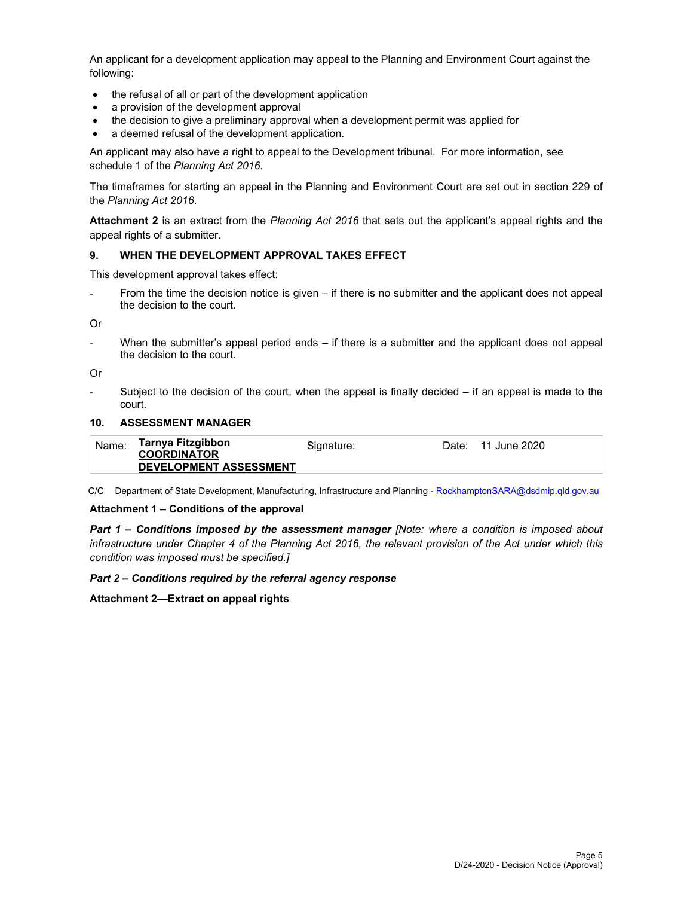An applicant for a development application may appeal to the Planning and Environment Court against the following:

- the refusal of all or part of the development application
- a provision of the development approval
- the decision to give a preliminary approval when a development permit was applied for
- a deemed refusal of the development application.

An applicant may also have a right to appeal to the Development tribunal. For more information, see schedule 1 of the *Planning Act 2016*.

The timeframes for starting an appeal in the Planning and Environment Court are set out in section 229 of the *Planning Act 2016*.

**Attachment 2** is an extract from the *Planning Act 2016* that sets out the applicant's appeal rights and the appeal rights of a submitter.

#### **9. WHEN THE DEVELOPMENT APPROVAL TAKES EFFECT**

This development approval takes effect:

From the time the decision notice is given – if there is no submitter and the applicant does not appeal the decision to the court.

Or

- When the submitter's appeal period ends – if there is a submitter and the applicant does not appeal the decision to the court.

Or

Subject to the decision of the court, when the appeal is finally decided  $-$  if an appeal is made to the court.

#### **10. ASSESSMENT MANAGER**

| Name: | Tarnya Fitzgibbon<br><b>COORDINATOR</b> | Signature: | Date: | 11 June 2020 |
|-------|-----------------------------------------|------------|-------|--------------|
|       | <b>DEVELOPMENT ASSESSMENT</b>           |            |       |              |

C/C Department of State Development, Manufacturing, Infrastructure and Planning - RockhamptonSARA@dsdmip.qld.gov.au

#### **Attachment 1 – Conditions of the approval**

*Part 1* **–** *Conditions imposed by the assessment manager [Note: where a condition is imposed about infrastructure under Chapter 4 of the Planning Act 2016, the relevant provision of the Act under which this condition was imposed must be specified.]*

#### *Part 2 – Conditions required by the referral agency response*

**Attachment 2—Extract on appeal rights**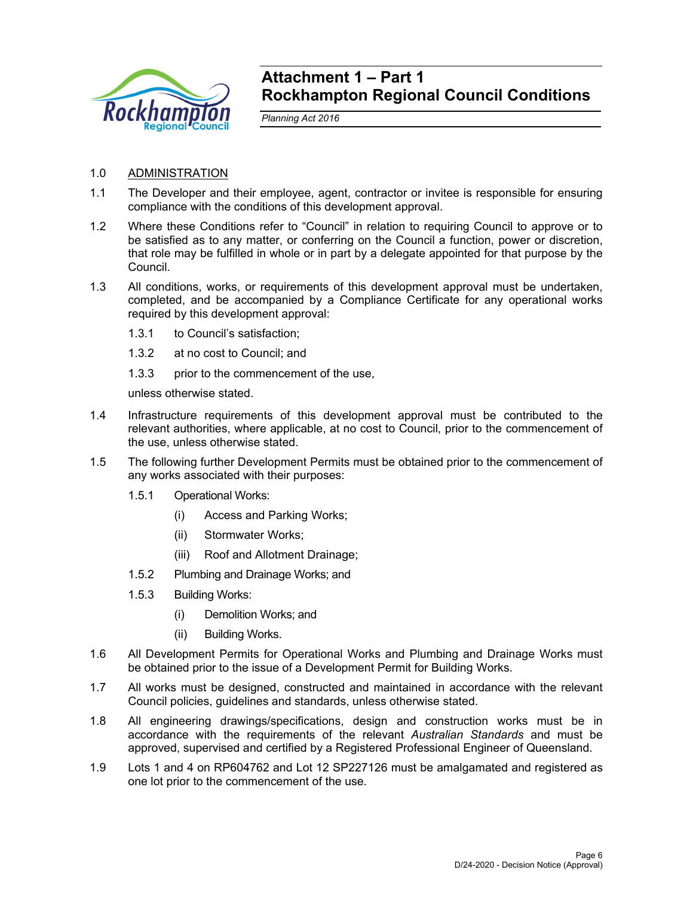

# **Attachment 1 – Part 1 Rockhampton Regional Council Conditions**

*Planning Act 2016* 

- 1.0 ADMINISTRATION
- 1.1 The Developer and their employee, agent, contractor or invitee is responsible for ensuring compliance with the conditions of this development approval.
- 1.2 Where these Conditions refer to "Council" in relation to requiring Council to approve or to be satisfied as to any matter, or conferring on the Council a function, power or discretion, that role may be fulfilled in whole or in part by a delegate appointed for that purpose by the Council.
- 1.3 All conditions, works, or requirements of this development approval must be undertaken, completed, and be accompanied by a Compliance Certificate for any operational works required by this development approval:
	- 1.3.1 to Council's satisfaction;
	- 1.3.2 at no cost to Council; and
	- 1.3.3 prior to the commencement of the use,

unless otherwise stated.

- 1.4 Infrastructure requirements of this development approval must be contributed to the relevant authorities, where applicable, at no cost to Council, prior to the commencement of the use, unless otherwise stated.
- 1.5 The following further Development Permits must be obtained prior to the commencement of any works associated with their purposes:
	- 1.5.1 Operational Works:
		- (i) Access and Parking Works;
		- (ii) Stormwater Works;
		- (iii) Roof and Allotment Drainage;
	- 1.5.2 Plumbing and Drainage Works; and
	- 1.5.3 Building Works:
		- (i) Demolition Works; and
		- (ii) Building Works.
- 1.6 All Development Permits for Operational Works and Plumbing and Drainage Works must be obtained prior to the issue of a Development Permit for Building Works.
- 1.7 All works must be designed, constructed and maintained in accordance with the relevant Council policies, guidelines and standards, unless otherwise stated.
- 1.8 All engineering drawings/specifications, design and construction works must be in accordance with the requirements of the relevant *Australian Standards* and must be approved, supervised and certified by a Registered Professional Engineer of Queensland.
- 1.9 Lots 1 and 4 on RP604762 and Lot 12 SP227126 must be amalgamated and registered as one lot prior to the commencement of the use.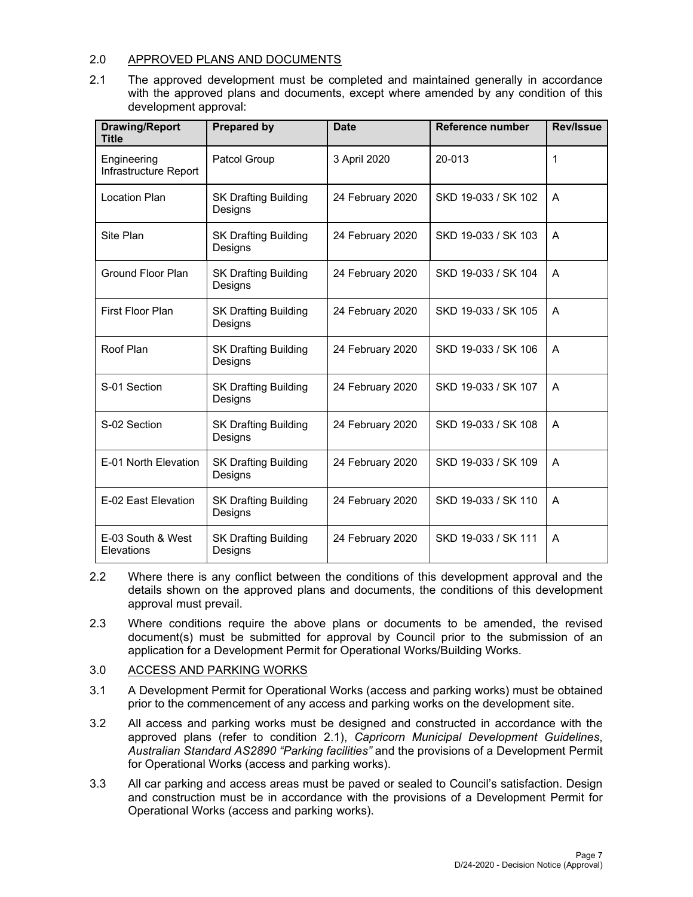## 2.0 APPROVED PLANS AND DOCUMENTS

2.1 The approved development must be completed and maintained generally in accordance with the approved plans and documents, except where amended by any condition of this development approval:

| <b>Drawing/Report</b><br><b>Title</b> | <b>Prepared by</b>                     | <b>Date</b>      | Reference number    | <b>Rev/Issue</b> |
|---------------------------------------|----------------------------------------|------------------|---------------------|------------------|
| Engineering<br>Infrastructure Report  | Patcol Group                           | 3 April 2020     | 20-013              | 1                |
| <b>Location Plan</b>                  | <b>SK Drafting Building</b><br>Designs | 24 February 2020 | SKD 19-033 / SK 102 | A                |
| Site Plan                             | <b>SK Drafting Building</b><br>Designs | 24 February 2020 | SKD 19-033 / SK 103 | A                |
| Ground Floor Plan                     | <b>SK Drafting Building</b><br>Designs | 24 February 2020 | SKD 19-033 / SK 104 | A                |
| First Floor Plan                      | <b>SK Drafting Building</b><br>Designs | 24 February 2020 | SKD 19-033 / SK 105 | A                |
| Roof Plan                             | <b>SK Drafting Building</b><br>Designs | 24 February 2020 | SKD 19-033 / SK 106 | A                |
| S-01 Section                          | <b>SK Drafting Building</b><br>Designs | 24 February 2020 | SKD 19-033 / SK 107 | A                |
| S-02 Section                          | <b>SK Drafting Building</b><br>Designs | 24 February 2020 | SKD 19-033 / SK 108 | A                |
| E-01 North Elevation                  | <b>SK Drafting Building</b><br>Designs | 24 February 2020 | SKD 19-033 / SK 109 | A                |
| E-02 East Elevation                   | <b>SK Drafting Building</b><br>Designs | 24 February 2020 | SKD 19-033 / SK 110 | A                |
| E-03 South & West<br>Elevations       | <b>SK Drafting Building</b><br>Designs | 24 February 2020 | SKD 19-033 / SK 111 | A                |

- 2.2 Where there is any conflict between the conditions of this development approval and the details shown on the approved plans and documents, the conditions of this development approval must prevail.
- 2.3 Where conditions require the above plans or documents to be amended, the revised document(s) must be submitted for approval by Council prior to the submission of an application for a Development Permit for Operational Works/Building Works.
- 3.0 ACCESS AND PARKING WORKS
- 3.1 A Development Permit for Operational Works (access and parking works) must be obtained prior to the commencement of any access and parking works on the development site.
- 3.2 All access and parking works must be designed and constructed in accordance with the approved plans (refer to condition 2.1), *Capricorn Municipal Development Guidelines*, *Australian Standard AS2890 "Parking facilities"* and the provisions of a Development Permit for Operational Works (access and parking works).
- 3.3 All car parking and access areas must be paved or sealed to Council's satisfaction. Design and construction must be in accordance with the provisions of a Development Permit for Operational Works (access and parking works).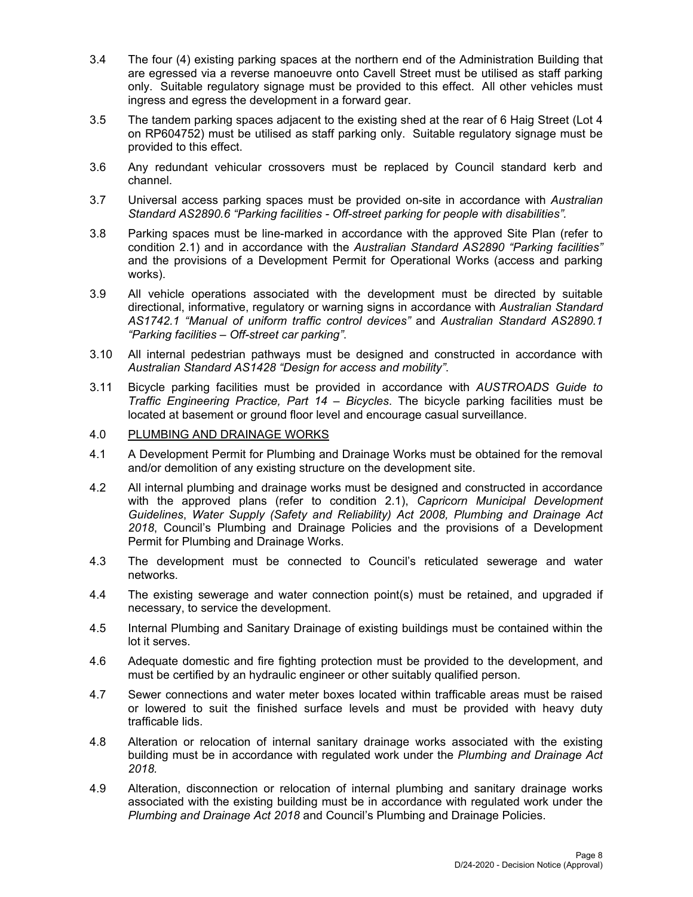- 3.4 The four (4) existing parking spaces at the northern end of the Administration Building that are egressed via a reverse manoeuvre onto Cavell Street must be utilised as staff parking only. Suitable regulatory signage must be provided to this effect. All other vehicles must ingress and egress the development in a forward gear.
- 3.5 The tandem parking spaces adjacent to the existing shed at the rear of 6 Haig Street (Lot 4 on RP604752) must be utilised as staff parking only. Suitable regulatory signage must be provided to this effect.
- 3.6 Any redundant vehicular crossovers must be replaced by Council standard kerb and channel.
- 3.7 Universal access parking spaces must be provided on-site in accordance with *Australian Standard AS2890.6 "Parking facilities - Off-street parking for people with disabilities".*
- 3.8 Parking spaces must be line-marked in accordance with the approved Site Plan (refer to condition 2.1) and in accordance with the *Australian Standard AS2890 "Parking facilities"* and the provisions of a Development Permit for Operational Works (access and parking works).
- 3.9 All vehicle operations associated with the development must be directed by suitable directional, informative, regulatory or warning signs in accordance with *Australian Standard AS1742.1 "Manual of uniform traffic control devices"* and *Australian Standard AS2890.1 "Parking facilities – Off-street car parking"*.
- 3.10 All internal pedestrian pathways must be designed and constructed in accordance with *Australian Standard AS1428 "Design for access and mobility"*.
- 3.11 Bicycle parking facilities must be provided in accordance with *AUSTROADS Guide to Traffic Engineering Practice, Part 14 – Bicycles*. The bicycle parking facilities must be located at basement or ground floor level and encourage casual surveillance.

### 4.0 PLUMBING AND DRAINAGE WORKS

- 4.1 A Development Permit for Plumbing and Drainage Works must be obtained for the removal and/or demolition of any existing structure on the development site.
- 4.2 All internal plumbing and drainage works must be designed and constructed in accordance with the approved plans (refer to condition 2.1), *Capricorn Municipal Development Guidelines*, *Water Supply (Safety and Reliability) Act 2008, Plumbing and Drainage Act 2018*, Council's Plumbing and Drainage Policies and the provisions of a Development Permit for Plumbing and Drainage Works.
- 4.3 The development must be connected to Council's reticulated sewerage and water networks.
- 4.4 The existing sewerage and water connection point(s) must be retained, and upgraded if necessary, to service the development.
- 4.5 Internal Plumbing and Sanitary Drainage of existing buildings must be contained within the lot it serves.
- 4.6 Adequate domestic and fire fighting protection must be provided to the development, and must be certified by an hydraulic engineer or other suitably qualified person.
- 4.7 Sewer connections and water meter boxes located within trafficable areas must be raised or lowered to suit the finished surface levels and must be provided with heavy duty trafficable lids.
- 4.8 Alteration or relocation of internal sanitary drainage works associated with the existing building must be in accordance with regulated work under the *Plumbing and Drainage Act 2018.*
- 4.9 Alteration, disconnection or relocation of internal plumbing and sanitary drainage works associated with the existing building must be in accordance with regulated work under the *Plumbing and Drainage Act 2018* and Council's Plumbing and Drainage Policies.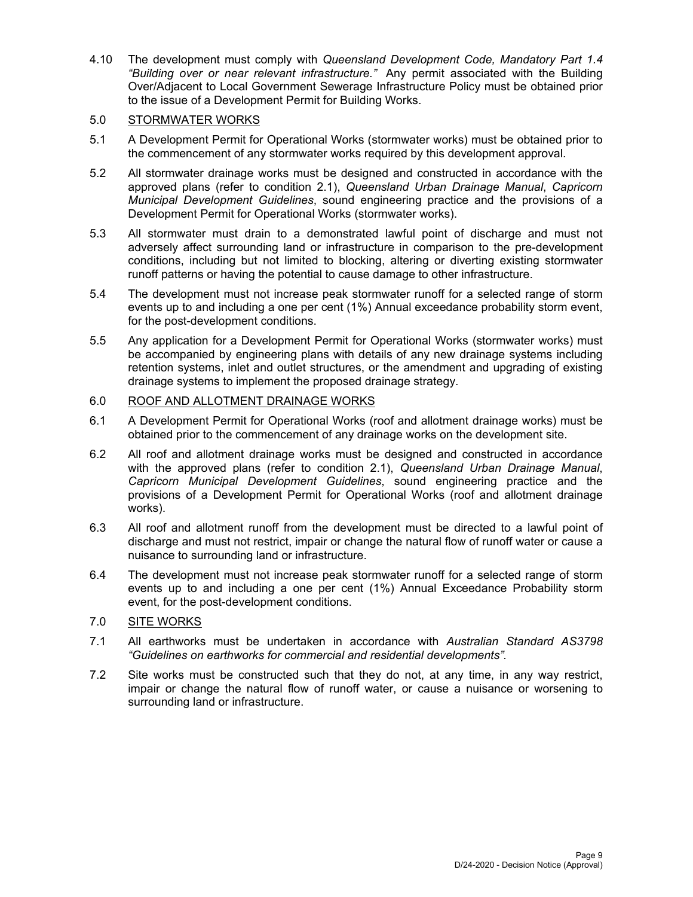4.10 The development must comply with *Queensland Development Code, Mandatory Part 1.4 "Building over or near relevant infrastructure."* Any permit associated with the Building Over/Adjacent to Local Government Sewerage Infrastructure Policy must be obtained prior to the issue of a Development Permit for Building Works.

## 5.0 STORMWATER WORKS

- 5.1 A Development Permit for Operational Works (stormwater works) must be obtained prior to the commencement of any stormwater works required by this development approval.
- 5.2 All stormwater drainage works must be designed and constructed in accordance with the approved plans (refer to condition 2.1), *Queensland Urban Drainage Manual*, *Capricorn Municipal Development Guidelines*, sound engineering practice and the provisions of a Development Permit for Operational Works (stormwater works).
- 5.3 All stormwater must drain to a demonstrated lawful point of discharge and must not adversely affect surrounding land or infrastructure in comparison to the pre-development conditions, including but not limited to blocking, altering or diverting existing stormwater runoff patterns or having the potential to cause damage to other infrastructure.
- 5.4 The development must not increase peak stormwater runoff for a selected range of storm events up to and including a one per cent (1%) Annual exceedance probability storm event, for the post-development conditions.
- 5.5 Any application for a Development Permit for Operational Works (stormwater works) must be accompanied by engineering plans with details of any new drainage systems including retention systems, inlet and outlet structures, or the amendment and upgrading of existing drainage systems to implement the proposed drainage strategy.

## 6.0 ROOF AND ALLOTMENT DRAINAGE WORKS

- 6.1 A Development Permit for Operational Works (roof and allotment drainage works) must be obtained prior to the commencement of any drainage works on the development site.
- 6.2 All roof and allotment drainage works must be designed and constructed in accordance with the approved plans (refer to condition 2.1), *Queensland Urban Drainage Manual*, *Capricorn Municipal Development Guidelines*, sound engineering practice and the provisions of a Development Permit for Operational Works (roof and allotment drainage works).
- 6.3 All roof and allotment runoff from the development must be directed to a lawful point of discharge and must not restrict, impair or change the natural flow of runoff water or cause a nuisance to surrounding land or infrastructure.
- 6.4 The development must not increase peak stormwater runoff for a selected range of storm events up to and including a one per cent (1%) Annual Exceedance Probability storm event, for the post-development conditions.

## 7.0 SITE WORKS

- 7.1 All earthworks must be undertaken in accordance with *Australian Standard AS3798 "Guidelines on earthworks for commercial and residential developments".*
- 7.2 Site works must be constructed such that they do not, at any time, in any way restrict, impair or change the natural flow of runoff water, or cause a nuisance or worsening to surrounding land or infrastructure.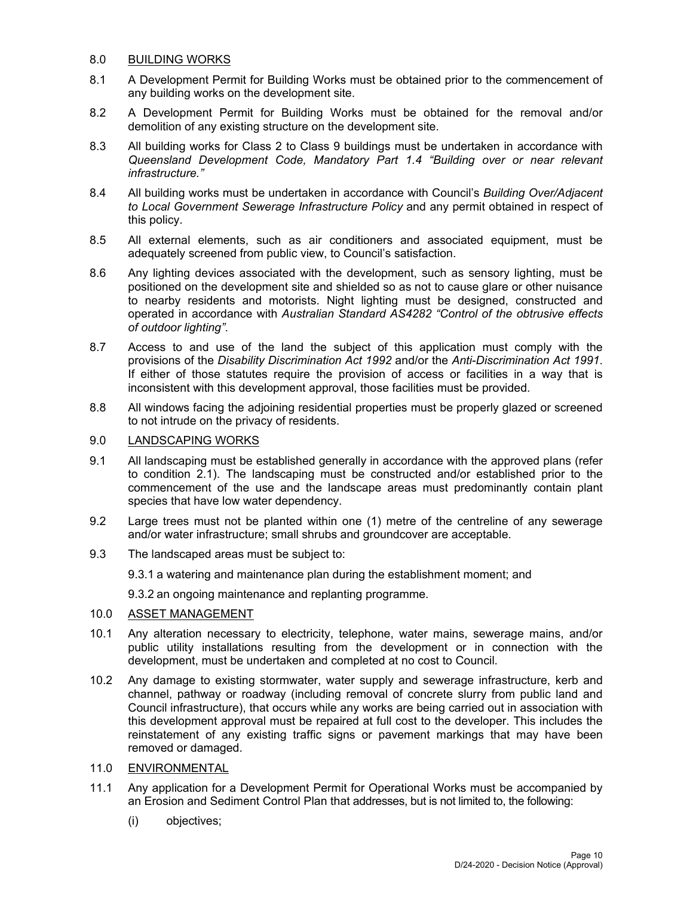### 8.0 BUILDING WORKS

- 8.1 A Development Permit for Building Works must be obtained prior to the commencement of any building works on the development site.
- 8.2 A Development Permit for Building Works must be obtained for the removal and/or demolition of any existing structure on the development site.
- 8.3 All building works for Class 2 to Class 9 buildings must be undertaken in accordance with *Queensland Development Code, Mandatory Part 1.4 "Building over or near relevant infrastructure."*
- 8.4 All building works must be undertaken in accordance with Council's *Building Over/Adjacent to Local Government Sewerage Infrastructure Policy* and any permit obtained in respect of this policy.
- 8.5 All external elements, such as air conditioners and associated equipment, must be adequately screened from public view, to Council's satisfaction.
- 8.6 Any lighting devices associated with the development, such as sensory lighting, must be positioned on the development site and shielded so as not to cause glare or other nuisance to nearby residents and motorists. Night lighting must be designed, constructed and operated in accordance with *Australian Standard AS4282 "Control of the obtrusive effects of outdoor lighting"*.
- 8.7 Access to and use of the land the subject of this application must comply with the provisions of the *Disability Discrimination Act 1992* and/or the *Anti-Discrimination Act 1991*. If either of those statutes require the provision of access or facilities in a way that is inconsistent with this development approval, those facilities must be provided.
- 8.8 All windows facing the adjoining residential properties must be properly glazed or screened to not intrude on the privacy of residents.

### 9.0 LANDSCAPING WORKS

- 9.1 All landscaping must be established generally in accordance with the approved plans (refer to condition 2.1). The landscaping must be constructed and/or established prior to the commencement of the use and the landscape areas must predominantly contain plant species that have low water dependency.
- 9.2 Large trees must not be planted within one (1) metre of the centreline of any sewerage and/or water infrastructure; small shrubs and groundcover are acceptable.
- 9.3 The landscaped areas must be subject to:
	- 9.3.1 a watering and maintenance plan during the establishment moment; and

9.3.2 an ongoing maintenance and replanting programme.

### 10.0 ASSET MANAGEMENT

- 10.1 Any alteration necessary to electricity, telephone, water mains, sewerage mains, and/or public utility installations resulting from the development or in connection with the development, must be undertaken and completed at no cost to Council.
- 10.2 Any damage to existing stormwater, water supply and sewerage infrastructure, kerb and channel, pathway or roadway (including removal of concrete slurry from public land and Council infrastructure), that occurs while any works are being carried out in association with this development approval must be repaired at full cost to the developer. This includes the reinstatement of any existing traffic signs or pavement markings that may have been removed or damaged.
- 11.0 ENVIRONMENTAL
- 11.1 Any application for a Development Permit for Operational Works must be accompanied by an Erosion and Sediment Control Plan that addresses, but is not limited to, the following:
	- (i) objectives;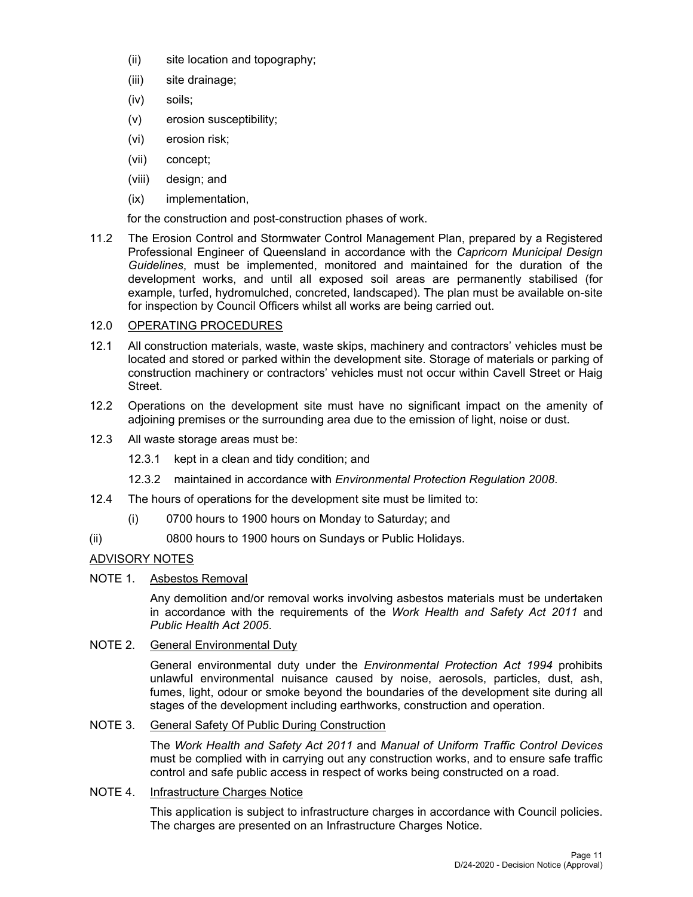- (ii) site location and topography;
- (iii) site drainage;
- (iv) soils;
- (v) erosion susceptibility;
- (vi) erosion risk;
- (vii) concept;
- (viii) design; and
- (ix) implementation,

for the construction and post-construction phases of work.

11.2 The Erosion Control and Stormwater Control Management Plan, prepared by a Registered Professional Engineer of Queensland in accordance with the *Capricorn Municipal Design Guidelines*, must be implemented, monitored and maintained for the duration of the development works, and until all exposed soil areas are permanently stabilised (for example, turfed, hydromulched, concreted, landscaped). The plan must be available on-site for inspection by Council Officers whilst all works are being carried out.

## 12.0 OPERATING PROCEDURES

- 12.1 All construction materials, waste, waste skips, machinery and contractors' vehicles must be located and stored or parked within the development site. Storage of materials or parking of construction machinery or contractors' vehicles must not occur within Cavell Street or Haig Street.
- 12.2 Operations on the development site must have no significant impact on the amenity of adjoining premises or the surrounding area due to the emission of light, noise or dust.
- 12.3 All waste storage areas must be:
	- 12.3.1 kept in a clean and tidy condition; and
	- 12.3.2 maintained in accordance with *Environmental Protection Regulation 2008*.
- 12.4 The hours of operations for the development site must be limited to:
	- (i) 0700 hours to 1900 hours on Monday to Saturday; and
- (ii) 0800 hours to 1900 hours on Sundays or Public Holidays.

## ADVISORY NOTES

NOTE 1. Asbestos Removal

Any demolition and/or removal works involving asbestos materials must be undertaken in accordance with the requirements of the *Work Health and Safety Act 2011* and *Public Health Act 2005*.

## NOTE 2. General Environmental Duty

General environmental duty under the *Environmental Protection Act 1994* prohibits unlawful environmental nuisance caused by noise, aerosols, particles, dust, ash, fumes, light, odour or smoke beyond the boundaries of the development site during all stages of the development including earthworks, construction and operation.

## NOTE 3. General Safety Of Public During Construction

The *Work Health and Safety Act 2011* and *Manual of Uniform Traffic Control Devices* must be complied with in carrying out any construction works, and to ensure safe traffic control and safe public access in respect of works being constructed on a road.

## NOTE 4. Infrastructure Charges Notice

This application is subject to infrastructure charges in accordance with Council policies. The charges are presented on an Infrastructure Charges Notice.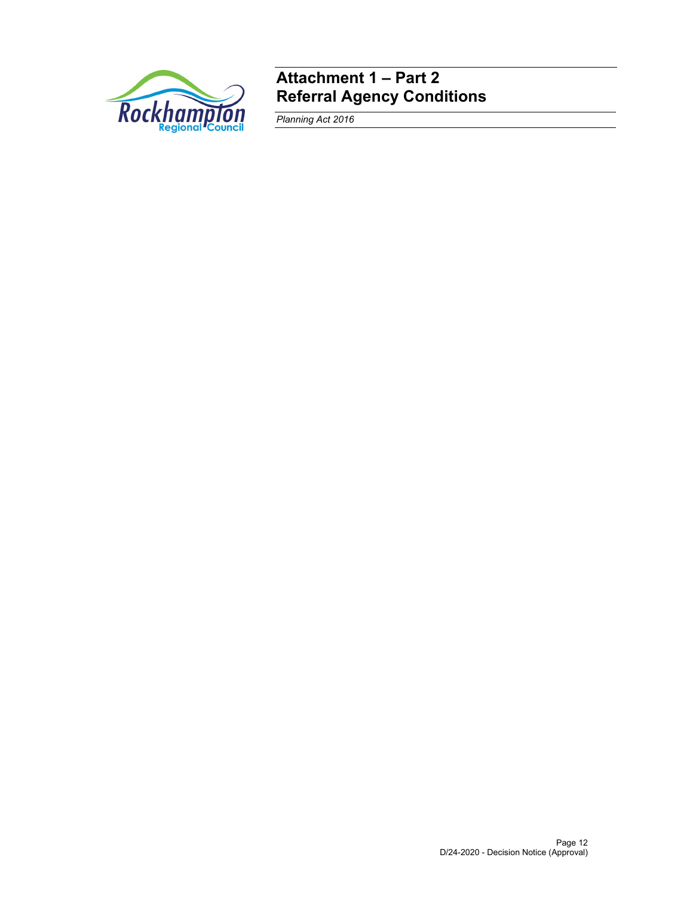

# **Attachment 1 – Part 2 Referral Agency Conditions**

*Planning Act 2016*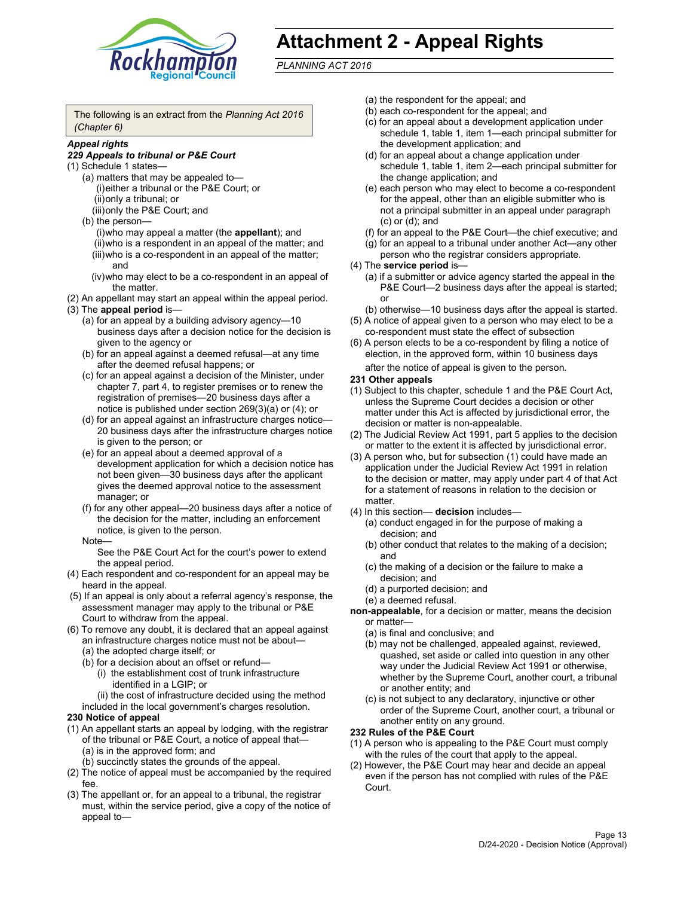

# **Attachment 2 - Appeal Rights**

*PLANNING ACT 2016*

The following is an extract from the *Planning Act 2016 (Chapter 6)*

#### *Appeal rights*

#### *229 Appeals to tribunal or P&E Court*

- (1) Schedule 1 states—
	- (a) matters that may be appealed to— (i) either a tribunal or the P&E Court; or (ii) only a tribunal; or (iii) only the P&E Court; and
	- (b) the person—
		- (i) who may appeal a matter (the **appellant**); and
		- (ii) who is a respondent in an appeal of the matter; and (iii) who is a co-respondent in an appeal of the matter; and
		- (iv) who may elect to be a co-respondent in an appeal of the matter.
- (2) An appellant may start an appeal within the appeal period.
- (3) The **appeal period** is—
	- (a) for an appeal by a building advisory agency—10 business days after a decision notice for the decision is given to the agency or
	- (b) for an appeal against a deemed refusal—at any time after the deemed refusal happens; or
	- (c) for an appeal against a decision of the Minister, under chapter 7, part 4, to register premises or to renew the registration of premises—20 business days after a notice is published under section 269(3)(a) or (4); or
	- (d) for an appeal against an infrastructure charges notice— 20 business days after the infrastructure charges notice is given to the person; or
	- (e) for an appeal about a deemed approval of a development application for which a decision notice has not been given—30 business days after the applicant gives the deemed approval notice to the assessment manager; or
	- (f) for any other appeal—20 business days after a notice of the decision for the matter, including an enforcement notice, is given to the person.

#### Note—

See the P&E Court Act for the court's power to extend the appeal period.

- (4) Each respondent and co-respondent for an appeal may be heard in the appeal.
- (5) If an appeal is only about a referral agency's response, the assessment manager may apply to the tribunal or P&E Court to withdraw from the appeal.
- (6) To remove any doubt, it is declared that an appeal against an infrastructure charges notice must not be about— (a) the adopted charge itself; or
	- (b) for a decision about an offset or refund—
		- (i) the establishment cost of trunk infrastructure identified in a LGIP; or
		- (ii) the cost of infrastructure decided using the method
	- included in the local government's charges resolution.

#### **230 Notice of appeal**

- (1) An appellant starts an appeal by lodging, with the registrar of the tribunal or P&E Court, a notice of appeal that— (a) is in the approved form; and
	- (b) succinctly states the grounds of the appeal.
- (2) The notice of appeal must be accompanied by the required fee.
- (3) The appellant or, for an appeal to a tribunal, the registrar must, within the service period, give a copy of the notice of appeal to—
- (a) the respondent for the appeal; and
- (b) each co-respondent for the appeal; and
- (c) for an appeal about a development application under schedule 1, table 1, item 1—each principal submitter for the development application; and
- (d) for an appeal about a change application under schedule 1, table 1, item 2—each principal submitter for the change application; and
- (e) each person who may elect to become a co-respondent for the appeal, other than an eligible submitter who is not a principal submitter in an appeal under paragraph (c) or (d); and
- (f) for an appeal to the P&E Court—the chief executive; and
- (g) for an appeal to a tribunal under another Act—any other person who the registrar considers appropriate.
- (4) The **service period** is—
	- (a) if a submitter or advice agency started the appeal in the P&E Court-2 business days after the appeal is started; or
	- (b) otherwise—10 business days after the appeal is started.
- (5) A notice of appeal given to a person who may elect to be a co-respondent must state the effect of subsection
- (6) A person elects to be a co-respondent by filing a notice of election, in the approved form, within 10 business days
	- after the notice of appeal is given to the person*.*
- **231 Other appeals**
- (1) Subject to this chapter, schedule 1 and the P&E Court Act, unless the Supreme Court decides a decision or other matter under this Act is affected by jurisdictional error, the decision or matter is non-appealable.
- (2) The Judicial Review Act 1991, part 5 applies to the decision or matter to the extent it is affected by jurisdictional error.
- (3) A person who, but for subsection (1) could have made an application under the Judicial Review Act 1991 in relation to the decision or matter, may apply under part 4 of that Act for a statement of reasons in relation to the decision or matter.
- (4) In this section— **decision** includes—
	- (a) conduct engaged in for the purpose of making a decision; and
	- (b) other conduct that relates to the making of a decision; and
	- (c) the making of a decision or the failure to make a decision; and
	- (d) a purported decision; and
	- (e) a deemed refusal.

**non-appealable**, for a decision or matter, means the decision or matter—

- (a) is final and conclusive; and
- (b) may not be challenged, appealed against, reviewed, quashed, set aside or called into question in any other way under the Judicial Review Act 1991 or otherwise, whether by the Supreme Court, another court, a tribunal or another entity; and
- (c) is not subject to any declaratory, injunctive or other order of the Supreme Court, another court, a tribunal or another entity on any ground.

#### **232 Rules of the P&E Court**

- (1) A person who is appealing to the P&E Court must comply with the rules of the court that apply to the appeal.
- (2) However, the P&E Court may hear and decide an appeal even if the person has not complied with rules of the P&E Court.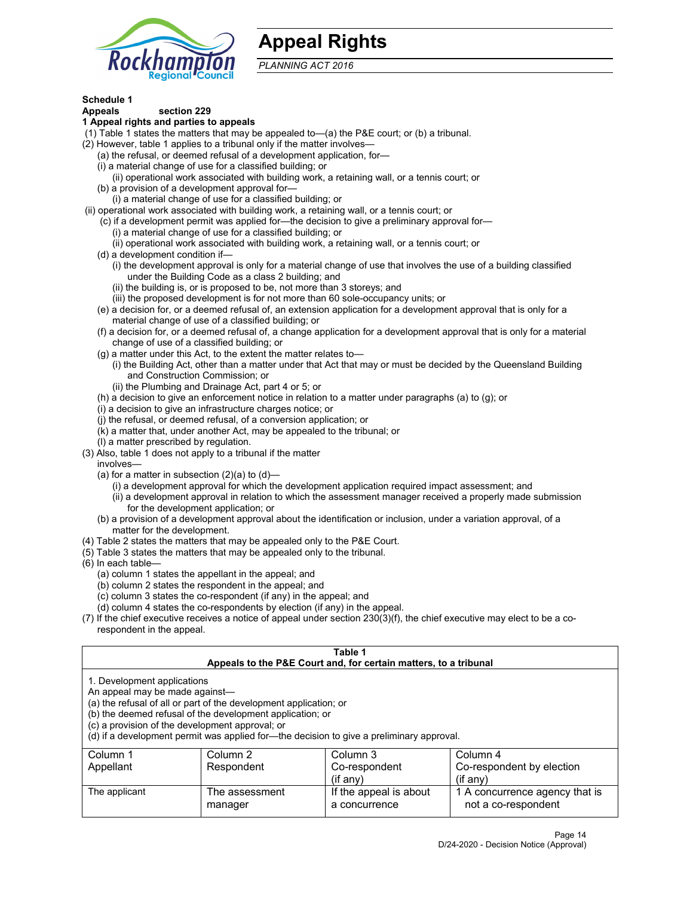

# **Appeal Rights**

*PLANNING ACT 2016*

## **Schedule 1**

# **Appeals section 229**

- **1 Appeal rights and parties to appeals**
- (1) Table 1 states the matters that may be appealed to—(a) the P&E court; or (b) a tribunal.
- (2) However, table 1 applies to a tribunal only if the matter involves—
	- (a) the refusal, or deemed refusal of a development application, for—
	- (i) a material change of use for a classified building; or
	- (ii) operational work associated with building work, a retaining wall, or a tennis court; or
	- (b) a provision of a development approval for—
	- (i) a material change of use for a classified building; or
- (ii) operational work associated with building work, a retaining wall, or a tennis court; or
	- (c) if a development permit was applied for—the decision to give a preliminary approval for—
		- (i) a material change of use for a classified building; or
	- (ii) operational work associated with building work, a retaining wall, or a tennis court; or (d) a development condition if—
		- (i) the development approval is only for a material change of use that involves the use of a building classified under the Building Code as a class 2 building; and
		- (ii) the building is, or is proposed to be, not more than 3 storeys; and
		- (iii) the proposed development is for not more than 60 sole-occupancy units; or
	- (e) a decision for, or a deemed refusal of, an extension application for a development approval that is only for a material change of use of a classified building; or
	- (f) a decision for, or a deemed refusal of, a change application for a development approval that is only for a material change of use of a classified building; or
	- (g) a matter under this Act, to the extent the matter relates to—
		- (i) the Building Act, other than a matter under that Act that may or must be decided by the Queensland Building and Construction Commission; or
		- (ii) the Plumbing and Drainage Act, part 4 or 5; or
	- (h) a decision to give an enforcement notice in relation to a matter under paragraphs (a) to (g); or
	- (i) a decision to give an infrastructure charges notice; or
	- (j) the refusal, or deemed refusal, of a conversion application; or
	- (k) a matter that, under another Act, may be appealed to the tribunal; or
	- (l) a matter prescribed by regulation.
- (3) Also, table 1 does not apply to a tribunal if the matter
	- involves—
		- (a) for a matter in subsection  $(2)(a)$  to  $(d)$ 
			- (i) a development approval for which the development application required impact assessment; and
			- (ii) a development approval in relation to which the assessment manager received a properly made submission for the development application; or
	- (b) a provision of a development approval about the identification or inclusion, under a variation approval, of a matter for the development.
- (4) Table 2 states the matters that may be appealed only to the P&E Court.
- (5) Table 3 states the matters that may be appealed only to the tribunal.
- (6) In each table—
	- (a) column 1 states the appellant in the appeal; and
	- (b) column 2 states the respondent in the appeal; and
	- (c) column 3 states the co-respondent (if any) in the appeal; and
	- (d) column 4 states the co-respondents by election (if any) in the appeal.
- (7) If the chief executive receives a notice of appeal under section 230(3)(f), the chief executive may elect to be a corespondent in the appeal.

| Table 1<br>Appeals to the P&E Court and, for certain matters, to a tribunal                                      |                                                                                                                                |                                                                                          |                                                       |
|------------------------------------------------------------------------------------------------------------------|--------------------------------------------------------------------------------------------------------------------------------|------------------------------------------------------------------------------------------|-------------------------------------------------------|
| 1. Development applications<br>An appeal may be made against-<br>(c) a provision of the development approval; or | (a) the refusal of all or part of the development application; or<br>(b) the deemed refusal of the development application; or | (d) if a development permit was applied for-the decision to give a preliminary approval. |                                                       |
| Column 1                                                                                                         | Column 2                                                                                                                       | Column 3                                                                                 | Column 4                                              |
| Appellant                                                                                                        | Respondent                                                                                                                     | Co-respondent<br>$($ if anv $)$                                                          | Co-respondent by election<br>$(i$ f anv $)$           |
| The applicant                                                                                                    | The assessment<br>manager                                                                                                      | If the appeal is about<br>a concurrence                                                  | 1 A concurrence agency that is<br>not a co-respondent |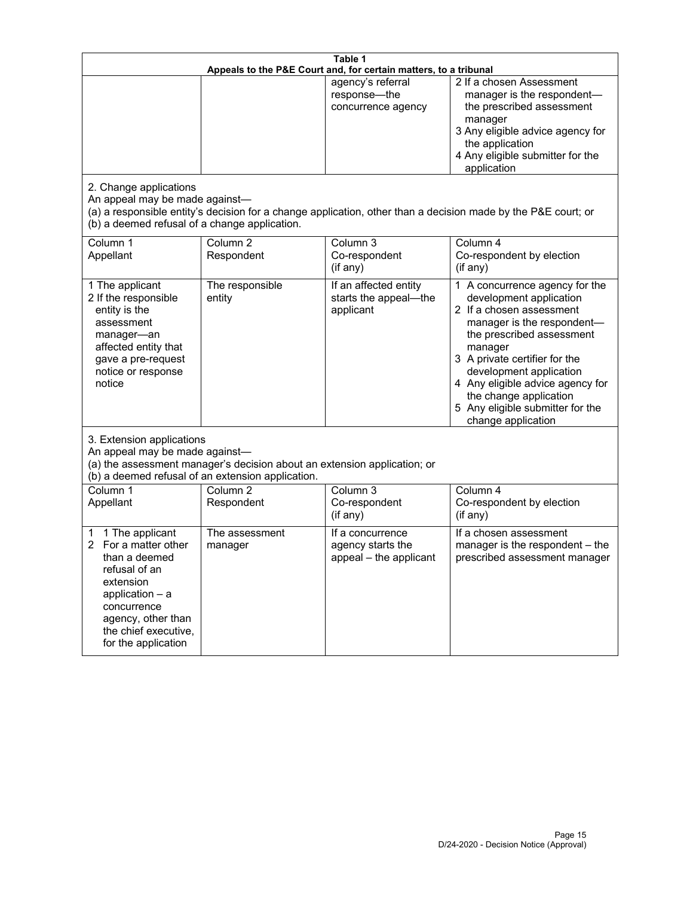| Table 1<br>Appeals to the P&E Court and, for certain matters, to a tribunal                                                                                                                        |                                                                                                                               |                                                                 |                                                                                                                                                                                                                                                                                                                                                 |
|----------------------------------------------------------------------------------------------------------------------------------------------------------------------------------------------------|-------------------------------------------------------------------------------------------------------------------------------|-----------------------------------------------------------------|-------------------------------------------------------------------------------------------------------------------------------------------------------------------------------------------------------------------------------------------------------------------------------------------------------------------------------------------------|
| 2. Change applications<br>An appeal may be made against-                                                                                                                                           |                                                                                                                               | agency's referral<br>response-the<br>concurrence agency         | 2 If a chosen Assessment<br>manager is the respondent-<br>the prescribed assessment<br>manager<br>3 Any eligible advice agency for<br>the application<br>4 Any eligible submitter for the<br>application<br>(a) a responsible entity's decision for a change application, other than a decision made by the P&E court; or                       |
| (b) a deemed refusal of a change application.<br>Column 1<br>Appellant                                                                                                                             | Column $\overline{2}$<br>Respondent                                                                                           | Column 3<br>Co-respondent<br>(if any)                           | Column 4<br>Co-respondent by election<br>(if any)                                                                                                                                                                                                                                                                                               |
| 1 The applicant<br>2 If the responsible<br>entity is the<br>assessment<br>manager-an<br>affected entity that<br>gave a pre-request<br>notice or response<br>notice                                 | The responsible<br>entity                                                                                                     | If an affected entity<br>starts the appeal-the<br>applicant     | 1 A concurrence agency for the<br>development application<br>2 If a chosen assessment<br>manager is the respondent-<br>the prescribed assessment<br>manager<br>3 A private certifier for the<br>development application<br>4 Any eligible advice agency for<br>the change application<br>5 Any eligible submitter for the<br>change application |
| 3. Extension applications<br>An appeal may be made against-                                                                                                                                        | (a) the assessment manager's decision about an extension application; or<br>(b) a deemed refusal of an extension application. |                                                                 |                                                                                                                                                                                                                                                                                                                                                 |
| Column 1<br>Appellant                                                                                                                                                                              | Column <sub>2</sub><br>Respondent                                                                                             | Column 3<br>Co-respondent<br>(if any)                           | Column 4<br>Co-respondent by election<br>(if any)                                                                                                                                                                                                                                                                                               |
| 1 The applicant<br>1<br>For a matter other<br>than a deemed<br>refusal of an<br>extension<br>application $-$ a<br>concurrence<br>agency, other than<br>the chief executive,<br>for the application | The assessment<br>manager                                                                                                     | If a concurrence<br>agency starts the<br>appeal - the applicant | If a chosen assessment<br>manager is the respondent - the<br>prescribed assessment manager                                                                                                                                                                                                                                                      |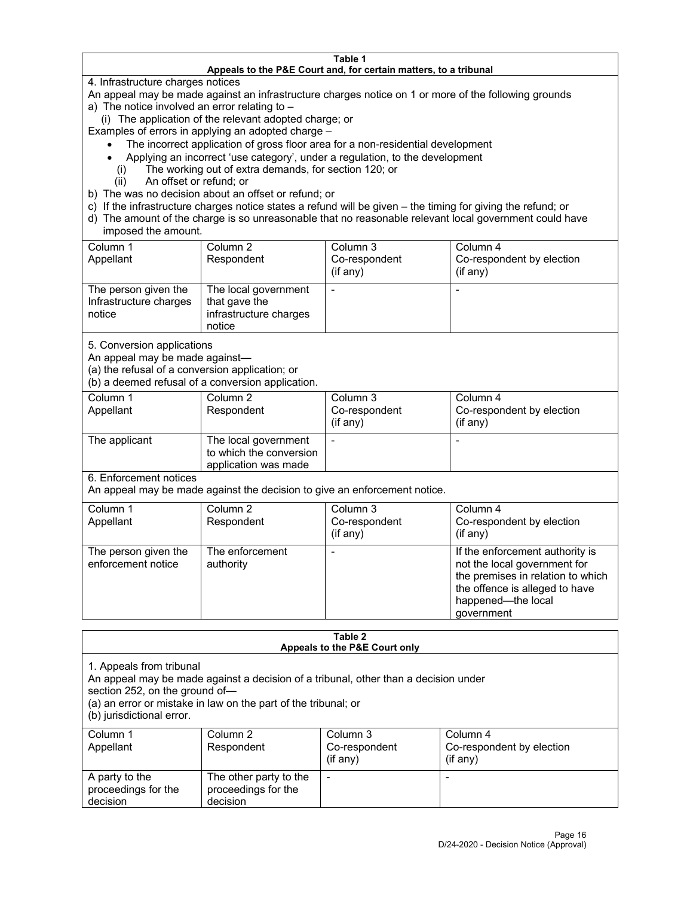#### **Table 1 Appeals to the P&E Court and, for certain matters, to a tribunal**

4. Infrastructure charges notices

An appeal may be made against an infrastructure charges notice on 1 or more of the following grounds

- a) The notice involved an error relating to
	- (i) The application of the relevant adopted charge; or

Examples of errors in applying an adopted charge –

- The incorrect application of gross floor area for a non-residential development
- Applying an incorrect 'use category', under a regulation, to the development
- (i) The working out of extra demands, for section 120; or
- (ii) An offset or refund; or
- b) The was no decision about an offset or refund; or
- c) If the infrastructure charges notice states a refund will be given the timing for giving the refund; or
- d) The amount of the charge is so unreasonable that no reasonable relevant local government could have imposed the amount.

| Column 1<br>Appellant                                    | Column 2<br>Respondent                                                    | Column 3<br>Co-respondent<br>(i f any) | Column 4<br>Co-respondent by election<br>(i f any) |
|----------------------------------------------------------|---------------------------------------------------------------------------|----------------------------------------|----------------------------------------------------|
| The person given the<br>Infrastructure charges<br>notice | The local government<br>that gave the<br>infrastructure charges<br>notice |                                        |                                                    |

5. Conversion applications

An appeal may be made against—

(a) the refusal of a conversion application; or

(b) a deemed refusal of a conversion application.

| Column 1      | Column 2                | Column 3       | Column 4                  |
|---------------|-------------------------|----------------|---------------------------|
| Appellant     | Respondent              | Co-respondent  | Co-respondent by election |
|               |                         | $($ if any $)$ | $($ if any $)$            |
|               |                         |                |                           |
| The applicant | The local government    |                |                           |
|               | to which the conversion |                |                           |
|               | application was made    |                |                           |

6. Enforcement notices

An appeal may be made against the decision to give an enforcement notice.

| Column 1<br>Appellant                      | Column 2<br>Respondent       | Column 3<br>Co-respondent<br>(if any) | Column 4<br>Co-respondent by election<br>(i f any)                                                                                                                         |
|--------------------------------------------|------------------------------|---------------------------------------|----------------------------------------------------------------------------------------------------------------------------------------------------------------------------|
| The person given the<br>enforcement notice | The enforcement<br>authority |                                       | If the enforcement authority is<br>not the local government for<br>the premises in relation to which<br>the offence is alleged to have<br>happened-the local<br>government |

#### **Table 2 Appeals to the P&E Court only**

1. Appeals from tribunal

An appeal may be made against a decision of a tribunal, other than a decision under

section 252, on the ground of—

(a) an error or mistake in law on the part of the tribunal; or

(b) jurisdictional error.

| Column 1<br>Appellant                             | Column 2<br>Respondent                                    | Column 3<br>Co-respondent<br>$(if$ any) | Column 4<br>Co-respondent by election<br>$(if$ any) |
|---------------------------------------------------|-----------------------------------------------------------|-----------------------------------------|-----------------------------------------------------|
| A party to the<br>proceedings for the<br>decision | The other party to the<br>proceedings for the<br>decision | $\overline{\phantom{a}}$                |                                                     |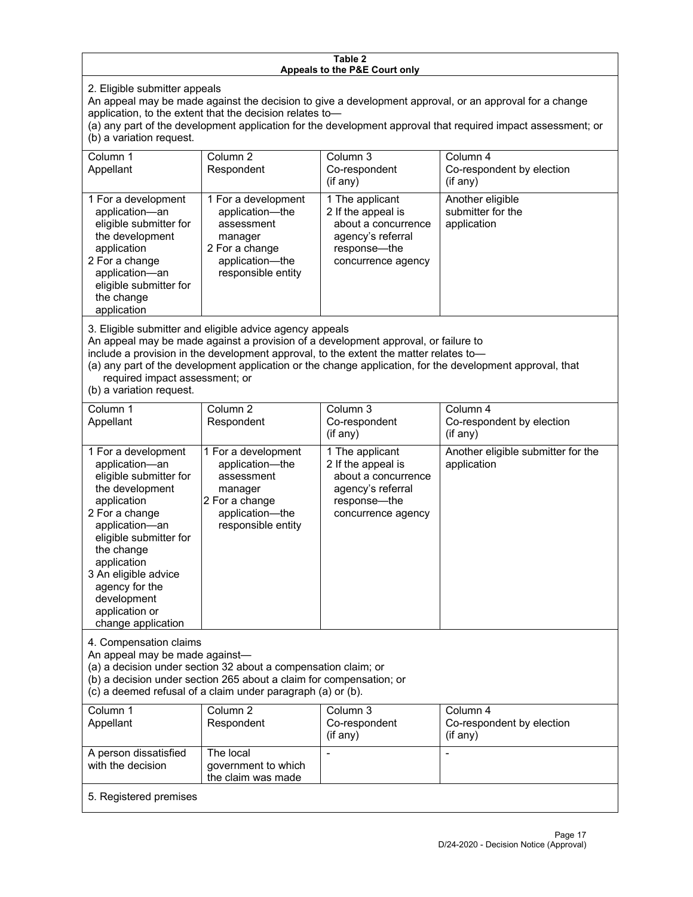#### **Table 2 Appeals to the P&E Court only**

2. Eligible submitter appeals

An appeal may be made against the decision to give a development approval, or an approval for a change application, to the extent that the decision relates to—

(a) any part of the development application for the development approval that required impact assessment; or (b) a variation request.

| Column 1<br>Appellant                                                                                                                                                                        | Column 2<br>Respondent                                                                                                     | Column 3<br>Co-respondent<br>(if any)                                                                                   | Column 4<br>Co-respondent by election<br>(if any)    |
|----------------------------------------------------------------------------------------------------------------------------------------------------------------------------------------------|----------------------------------------------------------------------------------------------------------------------------|-------------------------------------------------------------------------------------------------------------------------|------------------------------------------------------|
| 1 For a development<br>application-an<br>eligible submitter for<br>the development<br>application<br>2 For a change<br>application-an<br>eligible submitter for<br>the change<br>application | 1 For a development<br>application—the<br>assessment<br>manager<br>2 For a change<br>application-the<br>responsible entity | 1 The applicant<br>2 If the appeal is<br>about a concurrence<br>agency's referral<br>response—the<br>concurrence agency | Another eligible<br>submitter for the<br>application |

3. Eligible submitter and eligible advice agency appeals

An appeal may be made against a provision of a development approval, or failure to

include a provision in the development approval, to the extent the matter relates to—

(a) any part of the development application or the change application, for the development approval, that required impact assessment; or

(b) a variation request.

| Column 1<br>Appellant                                                                                                                                                                                                                                                                         | Column <sub>2</sub><br>Respondent                                                                                                                                                                    | Column <sub>3</sub><br>Co-respondent<br>(i f any)                                                                       | Column 4<br>Co-respondent by election<br>(if any) |
|-----------------------------------------------------------------------------------------------------------------------------------------------------------------------------------------------------------------------------------------------------------------------------------------------|------------------------------------------------------------------------------------------------------------------------------------------------------------------------------------------------------|-------------------------------------------------------------------------------------------------------------------------|---------------------------------------------------|
| 1 For a development<br>application-an<br>eligible submitter for<br>the development<br>application<br>2 For a change<br>application-an<br>eligible submitter for<br>the change<br>application<br>3 An eligible advice<br>agency for the<br>development<br>application or<br>change application | 1 For a development<br>application-the<br>assessment<br>manager<br>2 For a change<br>application-the<br>responsible entity                                                                           | 1 The applicant<br>2 If the appeal is<br>about a concurrence<br>agency's referral<br>response-the<br>concurrence agency | Another eligible submitter for the<br>application |
| 4. Compensation claims<br>An appeal may be made against-                                                                                                                                                                                                                                      | (a) a decision under section 32 about a compensation claim; or<br>(b) a decision under section 265 about a claim for compensation; or<br>(c) a deemed refusal of a claim under paragraph (a) or (b). |                                                                                                                         |                                                   |
| Column 1<br>Appellant                                                                                                                                                                                                                                                                         | Column <sub>2</sub><br>Respondent                                                                                                                                                                    | Column 3<br>Co-respondent<br>(if any)                                                                                   | Column 4<br>Co-respondent by election<br>(if any) |
| A person dissatisfied<br>with the decision                                                                                                                                                                                                                                                    | The local<br>government to which<br>the claim was made                                                                                                                                               |                                                                                                                         |                                                   |
| 5. Registered premises                                                                                                                                                                                                                                                                        |                                                                                                                                                                                                      |                                                                                                                         |                                                   |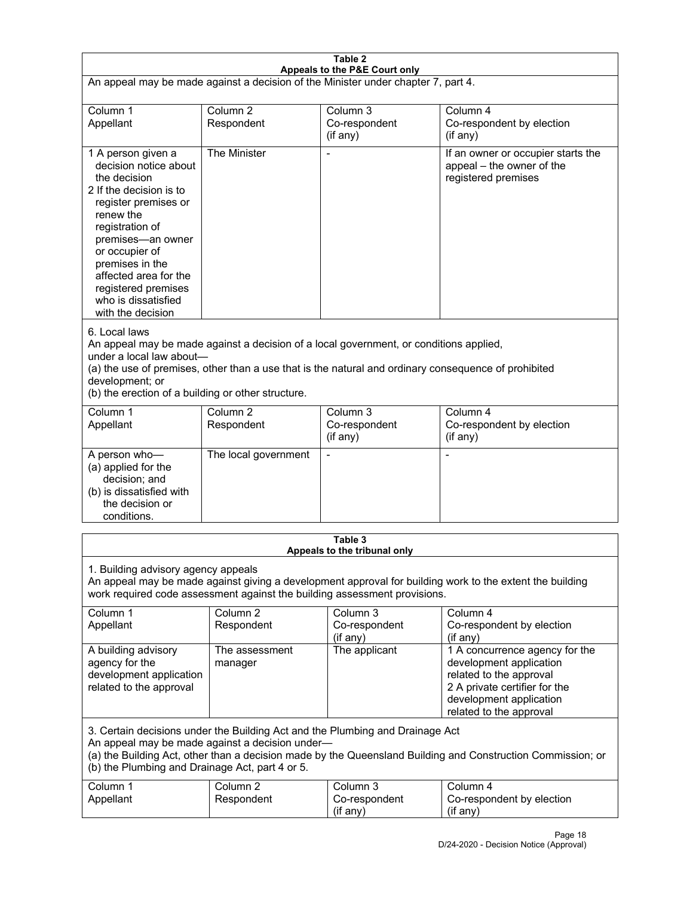| Table 2<br>Appeals to the P&E Court only                                                                                                                                                                                                                                                                             |                                   |                                                                           |                                                                                                                                                                             |
|----------------------------------------------------------------------------------------------------------------------------------------------------------------------------------------------------------------------------------------------------------------------------------------------------------------------|-----------------------------------|---------------------------------------------------------------------------|-----------------------------------------------------------------------------------------------------------------------------------------------------------------------------|
| An appeal may be made against a decision of the Minister under chapter 7, part 4.                                                                                                                                                                                                                                    |                                   |                                                                           |                                                                                                                                                                             |
| Column 1<br>Appellant                                                                                                                                                                                                                                                                                                | Column <sub>2</sub><br>Respondent | Column 3<br>Co-respondent<br>(if any)                                     | Column 4<br>Co-respondent by election<br>(if any)                                                                                                                           |
| 1 A person given a<br>decision notice about<br>the decision<br>2 If the decision is to<br>register premises or<br>renew the<br>registration of<br>premises-an owner<br>or occupier of<br>premises in the<br>affected area for the<br>registered premises<br>who is dissatisfied<br>with the decision                 | The Minister                      | Ĭ.                                                                        | If an owner or occupier starts the<br>appeal - the owner of the<br>registered premises                                                                                      |
| 6. Local laws<br>An appeal may be made against a decision of a local government, or conditions applied,<br>under a local law about-<br>(a) the use of premises, other than a use that is the natural and ordinary consequence of prohibited<br>development; or<br>(b) the erection of a building or other structure. |                                   |                                                                           |                                                                                                                                                                             |
| Column 1<br>Appellant                                                                                                                                                                                                                                                                                                | Column <sub>2</sub><br>Respondent | Column 3<br>Co-respondent<br>(if any)                                     | Column 4<br>Co-respondent by election<br>(if any)                                                                                                                           |
| A person who-<br>(a) applied for the<br>decision; and<br>(b) is dissatisfied with<br>the decision or<br>conditions.                                                                                                                                                                                                  | The local government              | L,                                                                        | $\overline{a}$                                                                                                                                                              |
|                                                                                                                                                                                                                                                                                                                      |                                   | Table 3<br>Appeals to the tribunal only                                   |                                                                                                                                                                             |
| 1. Building advisory agency appeals                                                                                                                                                                                                                                                                                  |                                   | work required code assessment against the building assessment provisions. | An appeal may be made against giving a development approval for building work to the extent the building                                                                    |
| Column 1<br>Appellant                                                                                                                                                                                                                                                                                                | Column <sub>2</sub><br>Respondent | Column 3<br>Co-respondent<br>(if any)                                     | Column 4<br>Co-respondent by election<br>(if any)                                                                                                                           |
| A building advisory<br>agency for the<br>development application<br>related to the approval                                                                                                                                                                                                                          | The assessment<br>manager         | The applicant                                                             | 1 A concurrence agency for the<br>development application<br>related to the approval<br>2 A private certifier for the<br>development application<br>related to the approval |
| 3. Certain decisions under the Building Act and the Plumbing and Drainage Act<br>An appeal may be made against a decision under-<br>(a) the Building Act, other than a decision made by the Queensland Building and Construction Commission; or<br>(b) the Plumbing and Drainage Act, part 4 or 5.                   |                                   |                                                                           |                                                                                                                                                                             |
| Column 1<br>Appellant                                                                                                                                                                                                                                                                                                | Column <sub>2</sub><br>Respondent | Column 3<br>Co-respondent<br>(if any)                                     | Column 4<br>Co-respondent by election<br>(if any)                                                                                                                           |